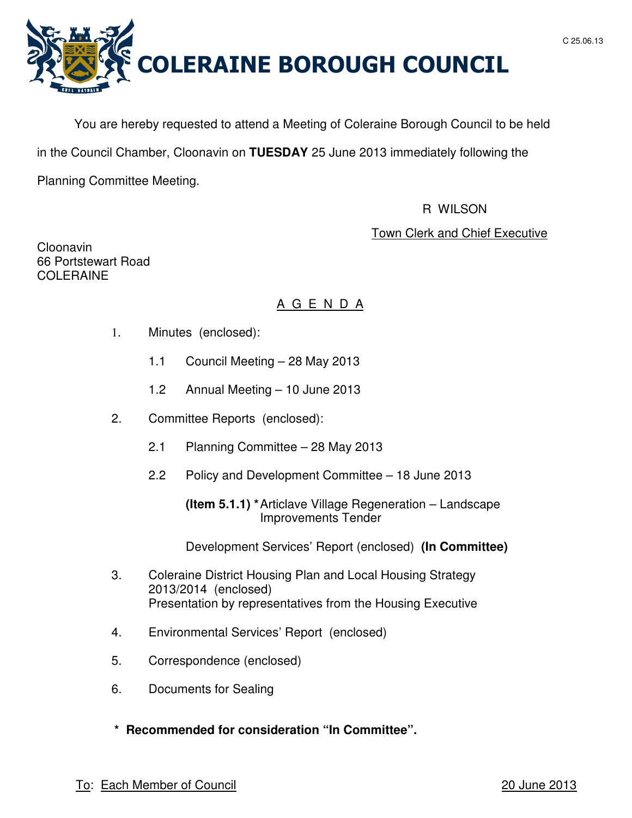



You are hereby requested to attend a Meeting of Coleraine Borough Council to be held

in the Council Chamber, Cloonavin on **TUESDAY** 25 June 2013 immediately following the

Planning Committee Meeting.

## R WILSON

# Town Clerk and Chief Executive

Cloonavin 66 Portstewart Road COLERAINE

# A G E N D A

- 1. Minutes (enclosed):
	- 1.1 Council Meeting 28 May 2013
	- 1.2 Annual Meeting 10 June 2013
- 2. Committee Reports (enclosed):
	- 2.1 Planning Committee 28 May 2013
	- 2.2 Policy and Development Committee 18 June 2013

 **(Item 5.1.1) \*** Articlave Village Regeneration – Landscape Improvements Tender

Development Services' Report (enclosed) **(In Committee)**

- 3. Coleraine District Housing Plan and Local Housing Strategy 2013/2014 (enclosed) Presentation by representatives from the Housing Executive
- 4. Environmental Services' Report (enclosed)
- 5. Correspondence (enclosed)
- 6. Documents for Sealing
- **\* Recommended for consideration "In Committee".**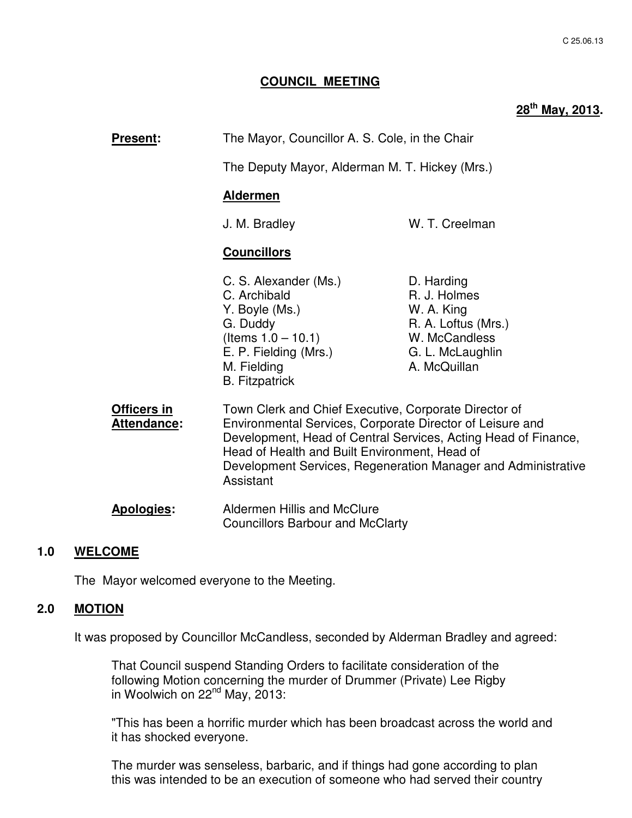### **COUNCIL MEETING**

# **28th May, 2013.**

| <b>Present:</b>                   | The Mayor, Councillor A. S. Cole, in the Chair<br>The Deputy Mayor, Alderman M. T. Hickey (Mrs.)                                                                                                                                                                                                                                                                                              |                                                                                                                      |
|-----------------------------------|-----------------------------------------------------------------------------------------------------------------------------------------------------------------------------------------------------------------------------------------------------------------------------------------------------------------------------------------------------------------------------------------------|----------------------------------------------------------------------------------------------------------------------|
|                                   |                                                                                                                                                                                                                                                                                                                                                                                               |                                                                                                                      |
|                                   | <b>Aldermen</b>                                                                                                                                                                                                                                                                                                                                                                               |                                                                                                                      |
|                                   | J. M. Bradley                                                                                                                                                                                                                                                                                                                                                                                 | W. T. Creelman                                                                                                       |
|                                   | <b>Councillors</b>                                                                                                                                                                                                                                                                                                                                                                            |                                                                                                                      |
|                                   | C. S. Alexander (Ms.)<br>C. Archibald<br>Y. Boyle (Ms.)<br>G. Duddy<br>(Items $1.0 - 10.1$ )<br>E. P. Fielding (Mrs.)<br>M. Fielding<br><b>B.</b> Fitzpatrick                                                                                                                                                                                                                                 | D. Harding<br>R. J. Holmes<br>W. A. King<br>R. A. Loftus (Mrs.)<br>W. McCandless<br>G. L. McLaughlin<br>A. McQuillan |
| <b>Officers in</b><br>Attendance: | Town Clerk and Chief Executive, Corporate Director of<br>Environmental Services, Corporate Director of Leisure and<br>Development, Head of Central Services, Acting Head of Finance,<br>Head of Health and Built Environment, Head of<br>Development Services, Regeneration Manager and Administrative<br>Assistant<br>Aldermen Hillis and McClure<br><b>Councillors Barbour and McClarty</b> |                                                                                                                      |
| <b>Apologies:</b>                 |                                                                                                                                                                                                                                                                                                                                                                                               |                                                                                                                      |

## **1.0 WELCOME**

The Mayor welcomed everyone to the Meeting.

## **2.0 MOTION**

It was proposed by Councillor McCandless, seconded by Alderman Bradley and agreed:

 That Council suspend Standing Orders to facilitate consideration of the following Motion concerning the murder of Drummer (Private) Lee Rigby in Woolwich on  $22<sup>nd</sup>$  May,  $2013$ :

 "This has been a horrific murder which has been broadcast across the world and it has shocked everyone.

The murder was senseless, barbaric, and if things had gone according to plan this was intended to be an execution of someone who had served their country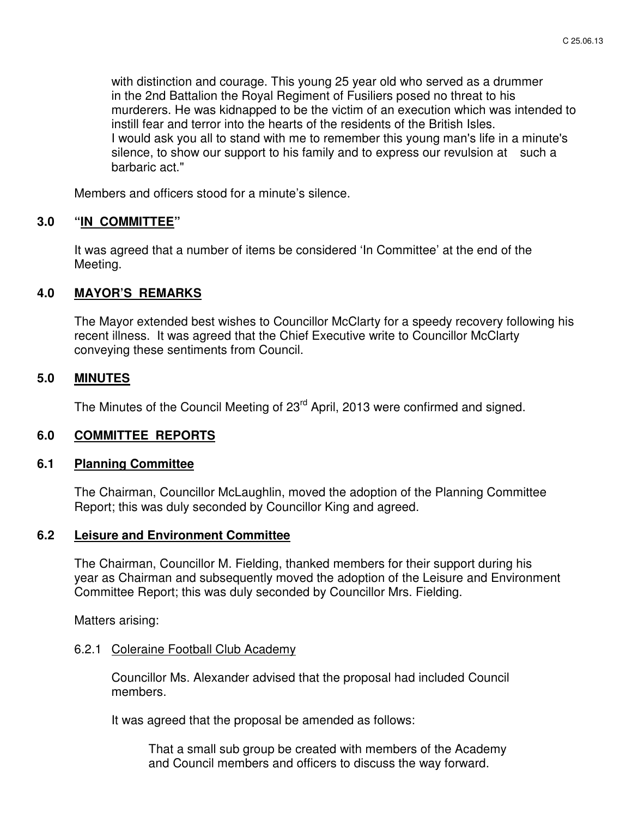with distinction and courage. This young 25 year old who served as a drummer in the 2nd Battalion the Royal Regiment of Fusiliers posed no threat to his murderers. He was kidnapped to be the victim of an execution which was intended to instill fear and terror into the hearts of the residents of the British Isles. I would ask you all to stand with me to remember this young man's life in a minute's silence, to show our support to his family and to express our revulsion at such a barbaric act."

Members and officers stood for a minute's silence.

#### **3.0 "IN COMMITTEE"**

 It was agreed that a number of items be considered 'In Committee' at the end of the Meeting.

#### **4.0 MAYOR'S REMARKS**

The Mayor extended best wishes to Councillor McClarty for a speedy recovery following his recent illness. It was agreed that the Chief Executive write to Councillor McClarty conveying these sentiments from Council.

#### **5.0 MINUTES**

The Minutes of the Council Meeting of 23<sup>rd</sup> April, 2013 were confirmed and signed.

#### **6.0 COMMITTEE REPORTS**

#### **6.1 Planning Committee**

 The Chairman, Councillor McLaughlin, moved the adoption of the Planning Committee Report; this was duly seconded by Councillor King and agreed.

## **6.2 Leisure and Environment Committee**

 The Chairman, Councillor M. Fielding, thanked members for their support during his year as Chairman and subsequently moved the adoption of the Leisure and Environment Committee Report; this was duly seconded by Councillor Mrs. Fielding.

Matters arising:

#### 6.2.1 Coleraine Football Club Academy

 Councillor Ms. Alexander advised that the proposal had included Council members.

It was agreed that the proposal be amended as follows:

 That a small sub group be created with members of the Academy and Council members and officers to discuss the way forward.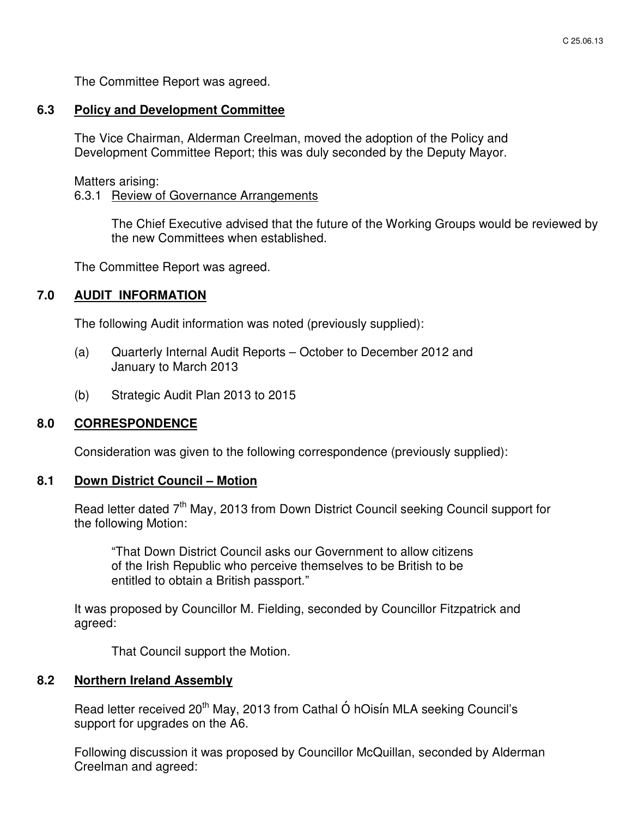The Committee Report was agreed.

#### **6.3 Policy and Development Committee**

 The Vice Chairman, Alderman Creelman, moved the adoption of the Policy and Development Committee Report; this was duly seconded by the Deputy Mayor.

Matters arising:

#### 6.3.1 Review of Governance Arrangements

The Chief Executive advised that the future of the Working Groups would be reviewed by the new Committees when established.

The Committee Report was agreed.

## **7.0 AUDIT INFORMATION**

The following Audit information was noted (previously supplied):

- (a) Quarterly Internal Audit Reports October to December 2012 and January to March 2013
- (b) Strategic Audit Plan 2013 to 2015

#### **8.0 CORRESPONDENCE**

Consideration was given to the following correspondence (previously supplied):

#### **8.1 Down District Council – Motion**

Read letter dated 7<sup>th</sup> May, 2013 from Down District Council seeking Council support for the following Motion:

 "That Down District Council asks our Government to allow citizens of the Irish Republic who perceive themselves to be British to be entitled to obtain a British passport."

 It was proposed by Councillor M. Fielding, seconded by Councillor Fitzpatrick and agreed:

That Council support the Motion.

#### **8.2 Northern Ireland Assembly**

Read letter received 20<sup>th</sup> May, 2013 from Cathal Ó hOisín MLA seeking Council's support for upgrades on the A6.

Following discussion it was proposed by Councillor McQuillan, seconded by Alderman Creelman and agreed: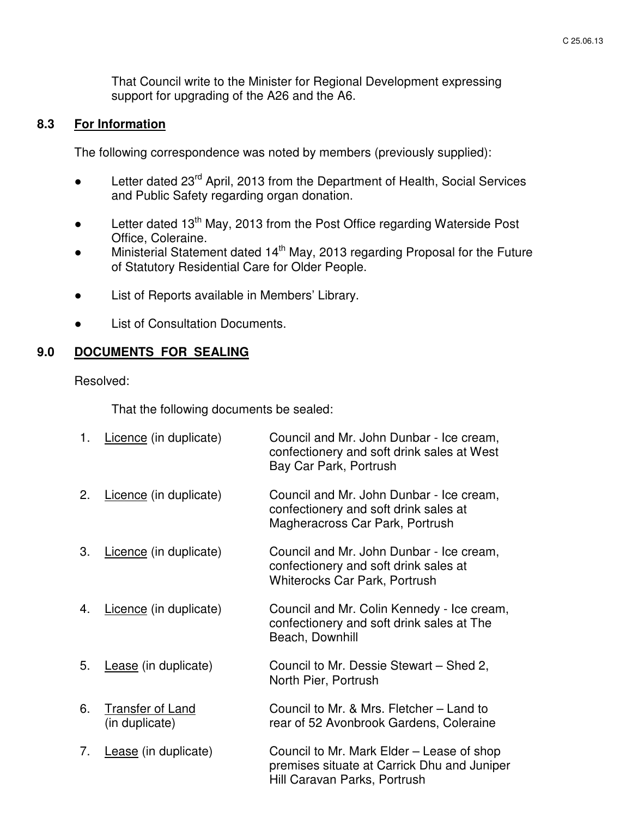That Council write to the Minister for Regional Development expressing support for upgrading of the A26 and the A6.

## **8.3 For Information**

The following correspondence was noted by members (previously supplied):

- Letter dated 23<sup>rd</sup> April, 2013 from the Department of Health, Social Services and Public Safety regarding organ donation.
- Letter dated 13<sup>th</sup> May, 2013 from the Post Office regarding Waterside Post Office, Coleraine.
- Ministerial Statement dated 14<sup>th</sup> May, 2013 regarding Proposal for the Future of Statutory Residential Care for Older People.
- List of Reports available in Members' Library.
- **List of Consultation Documents.**

## **9.0 DOCUMENTS FOR SEALING**

Resolved:

That the following documents be sealed:

| 1. | Licence (in duplicate)                    | Council and Mr. John Dunbar - Ice cream,<br>confectionery and soft drink sales at West<br>Bay Car Park, Portrush          |
|----|-------------------------------------------|---------------------------------------------------------------------------------------------------------------------------|
| 2. | Licence (in duplicate)                    | Council and Mr. John Dunbar - Ice cream,<br>confectionery and soft drink sales at<br>Magheracross Car Park, Portrush      |
| 3. | Licence (in duplicate)                    | Council and Mr. John Dunbar - Ice cream,<br>confectionery and soft drink sales at<br><b>Whiterocks Car Park, Portrush</b> |
| 4. | Licence (in duplicate)                    | Council and Mr. Colin Kennedy - Ice cream,<br>confectionery and soft drink sales at The<br>Beach, Downhill                |
| 5. | Lease (in duplicate)                      | Council to Mr. Dessie Stewart - Shed 2,<br>North Pier, Portrush                                                           |
| 6. | <b>Transfer of Land</b><br>(in duplicate) | Council to Mr. & Mrs. Fletcher - Land to<br>rear of 52 Avonbrook Gardens, Coleraine                                       |
| 7. | Lease (in duplicate)                      | Council to Mr. Mark Elder – Lease of shop<br>premises situate at Carrick Dhu and Juniper<br>Hill Caravan Parks, Portrush  |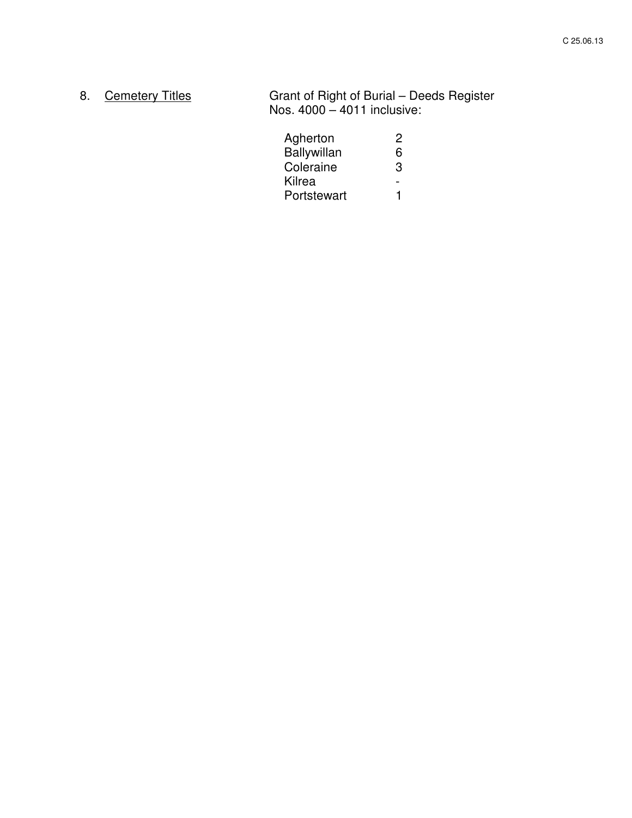8. Cemetery Titles Grant of Right of Burial – Deeds Register Nos. 4000 – 4011 inclusive:

| Agherton    | 2 |
|-------------|---|
| Ballywillan | 6 |
| Coleraine   | З |
| Kilrea      |   |
| Portstewart |   |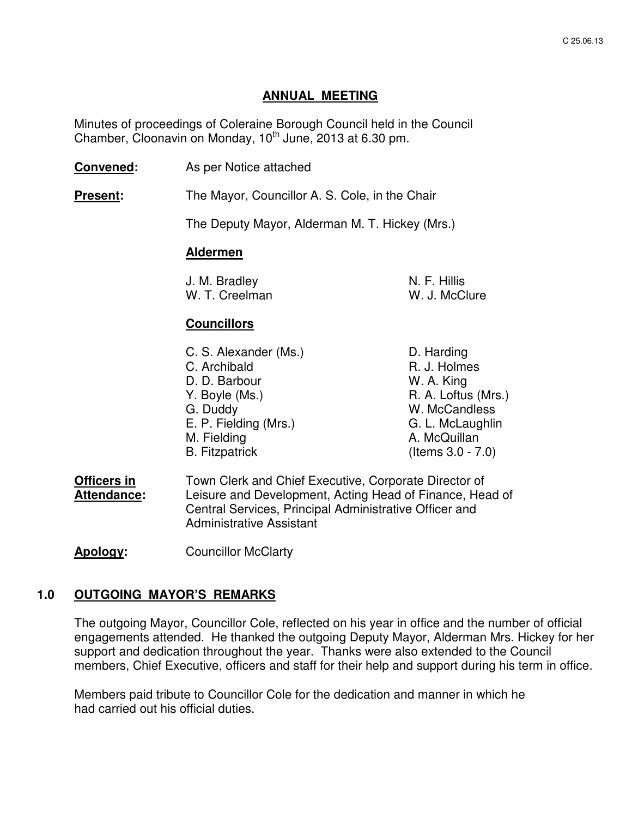## **ANNUAL MEETING**

 Minutes of proceedings of Coleraine Borough Council held in the Council Chamber, Cloonavin on Monday,  $10^{th}$  June, 2013 at 6.30 pm.

**Convened:** As per Notice attached

**Present:** The Mayor, Councillor A. S. Cole, in the Chair

The Deputy Mayor, Alderman M. T. Hickey (Mrs.)

## **Aldermen**

| J. M. Bradley  | N. F. Hillis  |
|----------------|---------------|
| W. T. Creelman | W. J. McClure |

## **Councillors**

| C. S. Alexander (Ms.) | D. Harding           |
|-----------------------|----------------------|
| C. Archibald          | R. J. Holmes         |
| D. D. Barbour         | W. A. King           |
| Y. Boyle (Ms.)        | R. A. Loftus (Mrs.)  |
| G. Duddy              | W. McCandless        |
| E. P. Fielding (Mrs.) | G. L. McLaughlin     |
| M. Fielding           | A. McQuillan         |
| <b>B.</b> Fitzpatrick | (Items $3.0 - 7.0$ ) |
|                       |                      |

**Officers in** Town Clerk and Chief Executive, Corporate Director of **Attendance:** Leisure and Development, Acting Head of Finance, Head of Central Services, Principal Administrative Officer and Administrative Assistant

**Apology:** Councillor McClarty

#### **1.0 OUTGOING MAYOR'S REMARKS**

The outgoing Mayor, Councillor Cole, reflected on his year in office and the number of official engagements attended. He thanked the outgoing Deputy Mayor, Alderman Mrs. Hickey for her support and dedication throughout the year. Thanks were also extended to the Council members, Chief Executive, officers and staff for their help and support during his term in office.

Members paid tribute to Councillor Cole for the dedication and manner in which he had carried out his official duties.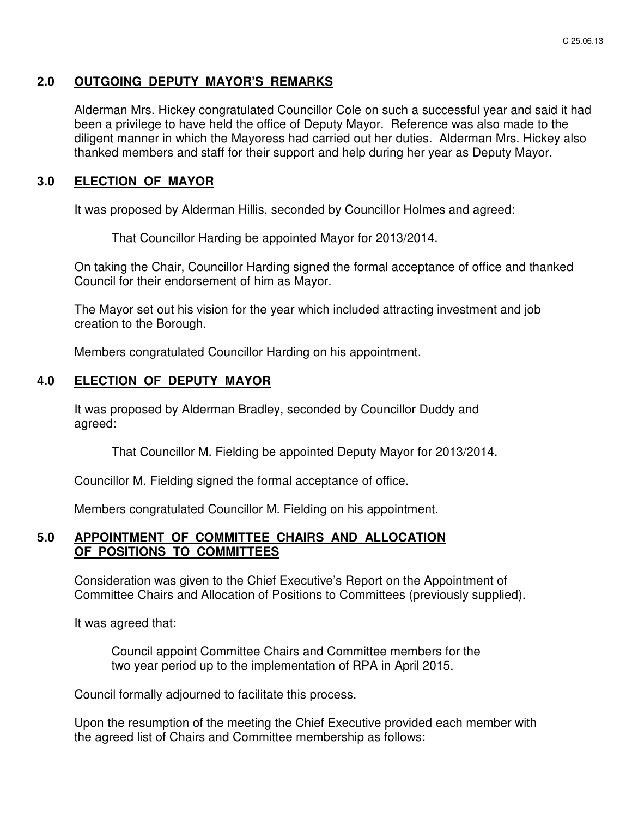## **2.0 OUTGOING DEPUTY MAYOR'S REMARKS**

Alderman Mrs. Hickey congratulated Councillor Cole on such a successful year and said it had been a privilege to have held the office of Deputy Mayor. Reference was also made to the diligent manner in which the Mayoress had carried out her duties. Alderman Mrs. Hickey also thanked members and staff for their support and help during her year as Deputy Mayor.

## **3.0 ELECTION OF MAYOR**

It was proposed by Alderman Hillis, seconded by Councillor Holmes and agreed:

That Councillor Harding be appointed Mayor for 2013/2014.

On taking the Chair, Councillor Harding signed the formal acceptance of office and thanked Council for their endorsement of him as Mayor.

The Mayor set out his vision for the year which included attracting investment and job creation to the Borough.

Members congratulated Councillor Harding on his appointment.

## **4.0 ELECTION OF DEPUTY MAYOR**

 It was proposed by Alderman Bradley, seconded by Councillor Duddy and agreed:

That Councillor M. Fielding be appointed Deputy Mayor for 2013/2014.

Councillor M. Fielding signed the formal acceptance of office.

Members congratulated Councillor M. Fielding on his appointment.

#### **5.0 APPOINTMENT OF COMMITTEE CHAIRS AND ALLOCATION OF POSITIONS TO COMMITTEES**

 Consideration was given to the Chief Executive's Report on the Appointment of Committee Chairs and Allocation of Positions to Committees (previously supplied).

It was agreed that:

 Council appoint Committee Chairs and Committee members for the two year period up to the implementation of RPA in April 2015.

Council formally adjourned to facilitate this process.

 Upon the resumption of the meeting the Chief Executive provided each member with the agreed list of Chairs and Committee membership as follows: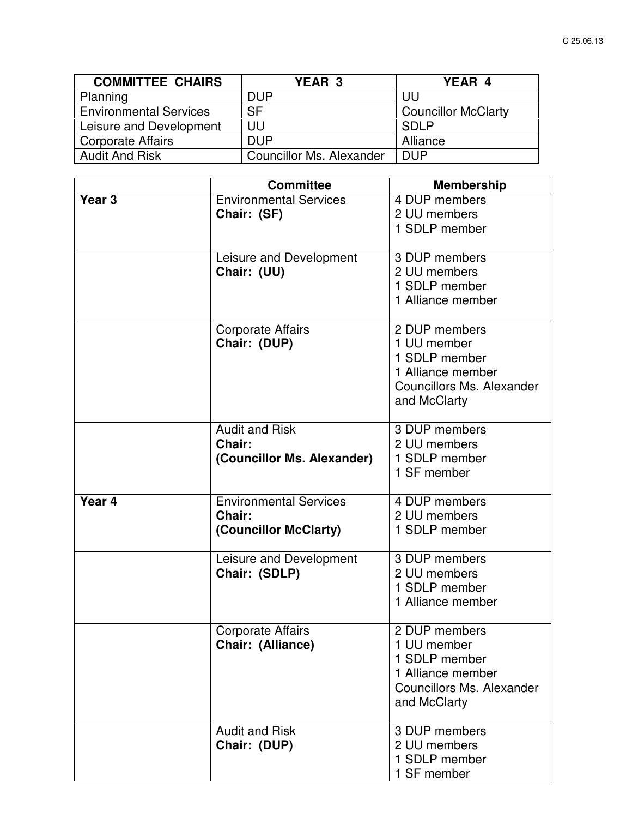| <b>COMMITTEE CHAIRS</b>       | <b>YEAR 3</b>            | YEAR 4                     |
|-------------------------------|--------------------------|----------------------------|
| Planning                      | <b>DUP</b>               | UU                         |
| <b>Environmental Services</b> | <b>SF</b>                | <b>Councillor McClarty</b> |
| Leisure and Development       | UU                       | <b>SDLP</b>                |
| <b>Corporate Affairs</b>      | <b>DUP</b>               | Alliance                   |
| <b>Audit And Risk</b>         | Councillor Ms. Alexander | <b>DUP</b>                 |

|                   | <b>Committee</b>                                                 | <b>Membership</b>                                                                                                      |
|-------------------|------------------------------------------------------------------|------------------------------------------------------------------------------------------------------------------------|
| Year <sub>3</sub> | <b>Environmental Services</b><br>Chair: (SF)                     | 4 DUP members<br>2 UU members<br>1 SDLP member                                                                         |
|                   | Leisure and Development<br>Chair: (UU)                           | 3 DUP members<br>2 UU members<br>1 SDLP member<br>1 Alliance member                                                    |
|                   | <b>Corporate Affairs</b><br>Chair: (DUP)                         | 2 DUP members<br>1 UU member<br>1 SDLP member<br>1 Alliance member<br><b>Councillors Ms. Alexander</b><br>and McClarty |
|                   | <b>Audit and Risk</b><br>Chair:<br>(Councillor Ms. Alexander)    | 3 DUP members<br>2 UU members<br>1 SDLP member<br>1 SF member                                                          |
| Year 4            | <b>Environmental Services</b><br>Chair:<br>(Councillor McClarty) | 4 DUP members<br>2 UU members<br>1 SDLP member                                                                         |
|                   | Leisure and Development<br>Chair: (SDLP)                         | 3 DUP members<br>2 UU members<br>1 SDLP member<br>1 Alliance member                                                    |
|                   | <b>Corporate Affairs</b><br>Chair: (Alliance)                    | 2 DUP members<br>1 UU member<br>1 SDLP member<br>1 Alliance member<br><b>Councillors Ms. Alexander</b><br>and McClarty |
|                   | <b>Audit and Risk</b><br>Chair: (DUP)                            | 3 DUP members<br>2 UU members<br>1 SDLP member<br>1 SF member                                                          |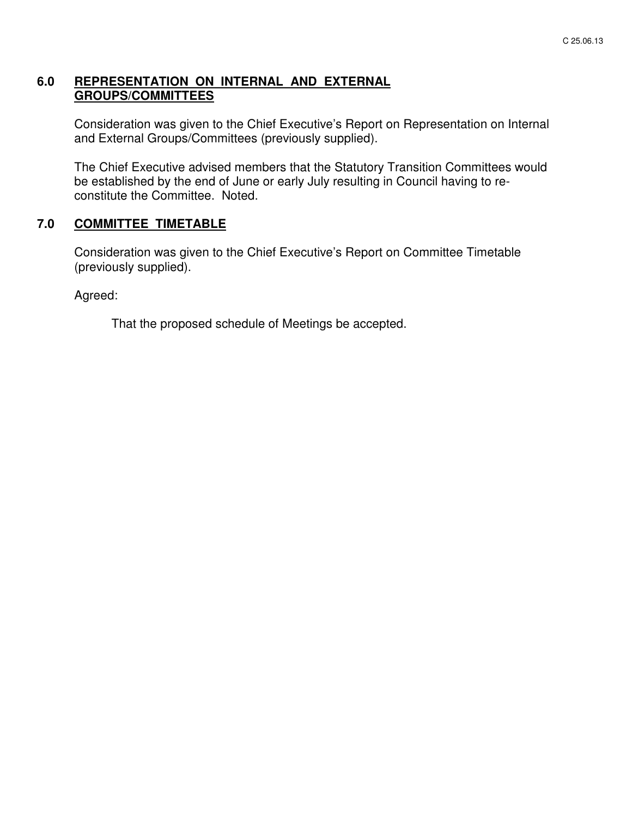## **6.0 REPRESENTATION ON INTERNAL AND EXTERNAL GROUPS/COMMITTEES**

 Consideration was given to the Chief Executive's Report on Representation on Internal and External Groups/Committees (previously supplied).

 The Chief Executive advised members that the Statutory Transition Committees would be established by the end of June or early July resulting in Council having to reconstitute the Committee. Noted.

## **7.0 COMMITTEE TIMETABLE**

 Consideration was given to the Chief Executive's Report on Committee Timetable (previously supplied).

Agreed:

That the proposed schedule of Meetings be accepted.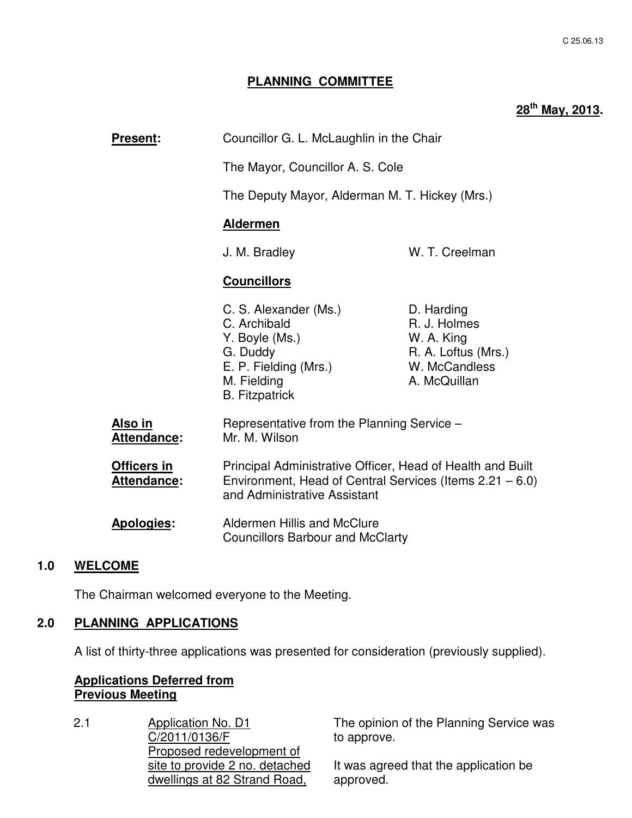## **PLANNING COMMITTEE**

# **28th May, 2013.**

| <b>Present:</b>                      | Councillor G. L. McLaughlin in the Chair                                                                                                                                                                                            |                                                                                                  |
|--------------------------------------|-------------------------------------------------------------------------------------------------------------------------------------------------------------------------------------------------------------------------------------|--------------------------------------------------------------------------------------------------|
|                                      | The Mayor, Councillor A. S. Cole<br>The Deputy Mayor, Alderman M. T. Hickey (Mrs.)                                                                                                                                                  |                                                                                                  |
|                                      |                                                                                                                                                                                                                                     |                                                                                                  |
|                                      | <b>Aldermen</b>                                                                                                                                                                                                                     |                                                                                                  |
|                                      | J. M. Bradley                                                                                                                                                                                                                       | W. T. Creelman                                                                                   |
|                                      | <b>Councillors</b>                                                                                                                                                                                                                  |                                                                                                  |
|                                      | C. S. Alexander (Ms.)<br>C. Archibald<br>Y. Boyle (Ms.)<br>G. Duddy<br>E. P. Fielding (Mrs.)<br>M. Fielding<br><b>B.</b> Fitzpatrick                                                                                                | D. Harding<br>R. J. Holmes<br>W. A. King<br>R. A. Loftus (Mrs.)<br>W. McCandless<br>A. McQuillan |
| <u>Also in</u><br><b>Attendance:</b> | Representative from the Planning Service -<br>Mr. M. Wilson                                                                                                                                                                         |                                                                                                  |
| Officers in<br>Attendance:           | Principal Administrative Officer, Head of Health and Built<br>Environment, Head of Central Services (Items $2.21 - 6.0$ )<br>and Administrative Assistant<br>Aldermen Hillis and McClure<br><b>Councillors Barbour and McClarty</b> |                                                                                                  |
| Apologies:                           |                                                                                                                                                                                                                                     |                                                                                                  |
|                                      |                                                                                                                                                                                                                                     |                                                                                                  |

## **1.0 WELCOME**

The Chairman welcomed everyone to the Meeting.

#### **2.0 PLANNING APPLICATIONS**

A list of thirty-three applications was presented for consideration (previously supplied).

## **Applications Deferred from Previous Meeting**

2.1 Application No. D1 C/2011/0136/F Proposed redevelopment of site to provide 2 no. detached dwellings at 82 Strand Road,

The opinion of the Planning Service was to approve.

It was agreed that the application be approved.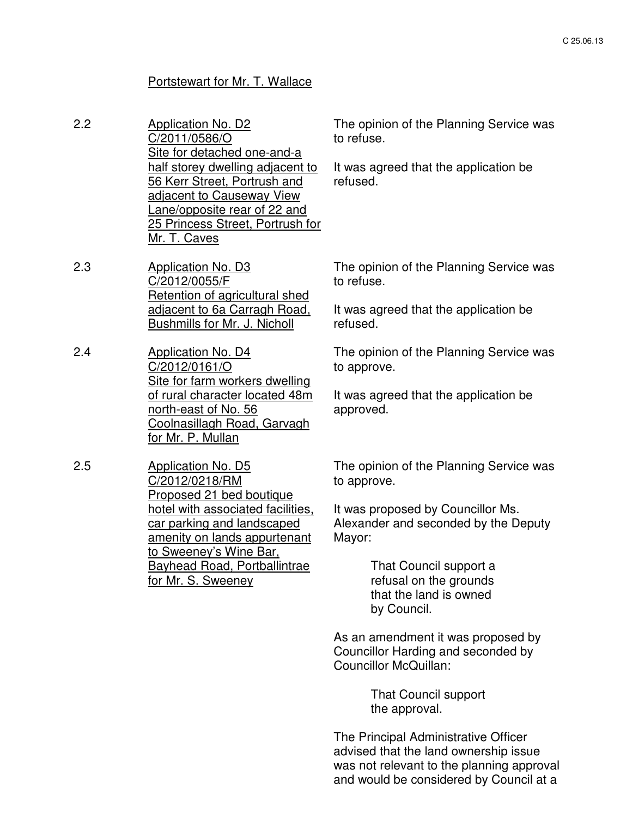# Portstewart for Mr. T. Wallace

| 2.2 | <b>Application No. D2</b><br>C/2011/0586/O<br>Site for detached one-and-a                                                                                                                | The opinion of the Planning Service was<br>to refuse.                                                    |
|-----|------------------------------------------------------------------------------------------------------------------------------------------------------------------------------------------|----------------------------------------------------------------------------------------------------------|
|     | half storey dwelling adjacent to<br><b>56 Kerr Street, Portrush and</b><br>adjacent to Causeway View<br>Lane/opposite rear of 22 and<br>25 Princess Street, Portrush for<br>Mr. T. Caves | It was agreed that the application be<br>refused.                                                        |
| 2.3 | <b>Application No. D3</b><br>C/2012/0055/F<br>Retention of agricultural shed                                                                                                             | The opinion of the Planning Service was<br>to refuse.                                                    |
|     | adjacent to 6a Carragh Road,<br><b>Bushmills for Mr. J. Nicholl</b>                                                                                                                      | It was agreed that the application be<br>refused.                                                        |
| 2.4 | Application No. D4<br>C/2012/0161/O<br>Site for farm workers dwelling                                                                                                                    | The opinion of the Planning Service was<br>to approve.                                                   |
|     | of rural character located 48m<br>north-east of No. 56<br>Coolnasillagh Road, Garvagh<br>for Mr. P. Mullan                                                                               | It was agreed that the application be<br>approved.                                                       |
| 2.5 | <b>Application No. D5</b><br>C/2012/0218/RM<br>Proposed 21 bed boutique                                                                                                                  | The opinion of the Planning Service was<br>to approve.                                                   |
|     | hotel with associated facilities,<br>car parking and landscaped<br>amenity on lands appurtenant<br><u>to Sweeney's Wine Bar,</u>                                                         | It was proposed by Councillor Ms.<br>Alexander and seconded by the Deputy<br>Mayor:                      |
|     | <b>Bayhead Road, Portballintrae</b><br>for Mr. S. Sweeney                                                                                                                                | That Council support a<br>refusal on the grounds<br>that the land is owned<br>by Council.                |
|     |                                                                                                                                                                                          | As an amendment it was proposed by<br>Councillor Harding and seconded by<br><b>Councillor McQuillan:</b> |
|     |                                                                                                                                                                                          | <b>That Council support</b><br>the approval.                                                             |

The Principal Administrative Officer advised that the land ownership issue was not relevant to the planning approval and would be considered by Council at a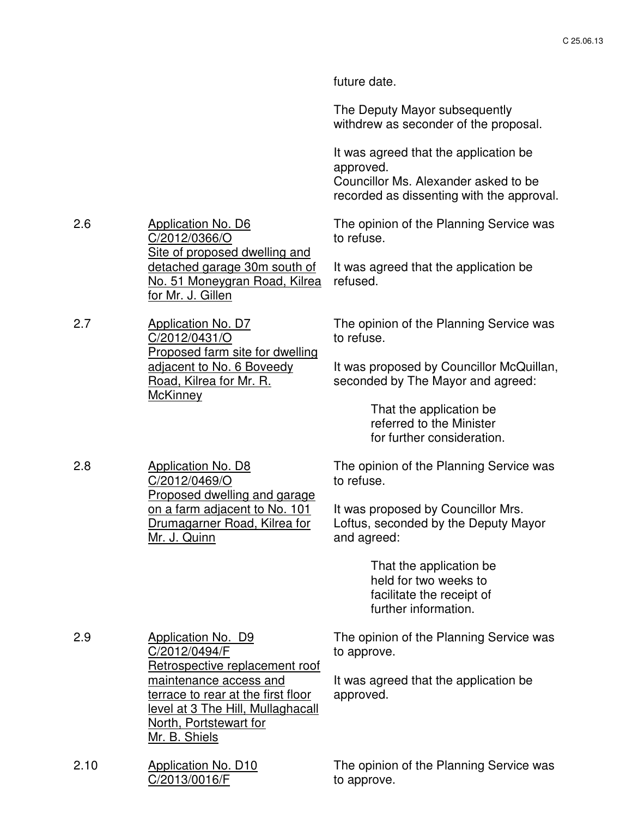future date.

The Deputy Mayor subsequently withdrew as seconder of the proposal.

It was agreed that the application be approved. Councillor Ms. Alexander asked to be recorded as dissenting with the approval.

The opinion of the Planning Service was to refuse.

It was agreed that the application be refused.

The opinion of the Planning Service was to refuse.

It was proposed by Councillor McQuillan, seconded by The Mayor and agreed:

> That the application be referred to the Minister for further consideration.

The opinion of the Planning Service was to refuse.

It was proposed by Councillor Mrs. Loftus, seconded by the Deputy Mayor and agreed:

> That the application be held for two weeks to facilitate the receipt of further information.

| 2.9  | Application No. D9<br>C/2012/0494/F<br>Retrospective replacement roof                                                                        | The opinion of the Planning Service was<br>to approve. |
|------|----------------------------------------------------------------------------------------------------------------------------------------------|--------------------------------------------------------|
|      | maintenance access and<br>terrace to rear at the first floor<br>level at 3 The Hill, Mullaghacall<br>North, Portstewart for<br>Mr. B. Shiels | It was agreed that the application be<br>approved.     |
| 2.10 | <b>Application No. D10</b><br>C/2013/0016/F                                                                                                  | The opinion of the Planning Service was<br>to approve. |

2.6 Application No. D6 C/2012/0366/O Site of proposed dwelling and detached garage 30m south of No. 51 Moneygran Road, Kilrea for Mr. J. Gillen

2.7 Application No. D7 C/2012/0431/O Proposed farm site for dwelling adjacent to No. 6 Boveedy Road, Kilrea for Mr. R. **McKinney** 

C/2012/0469/O

Mr. J. Quinn

Proposed dwelling and garage on a farm adjacent to No. 101 Drumagarner Road, Kilrea for

2.8 Application No. D8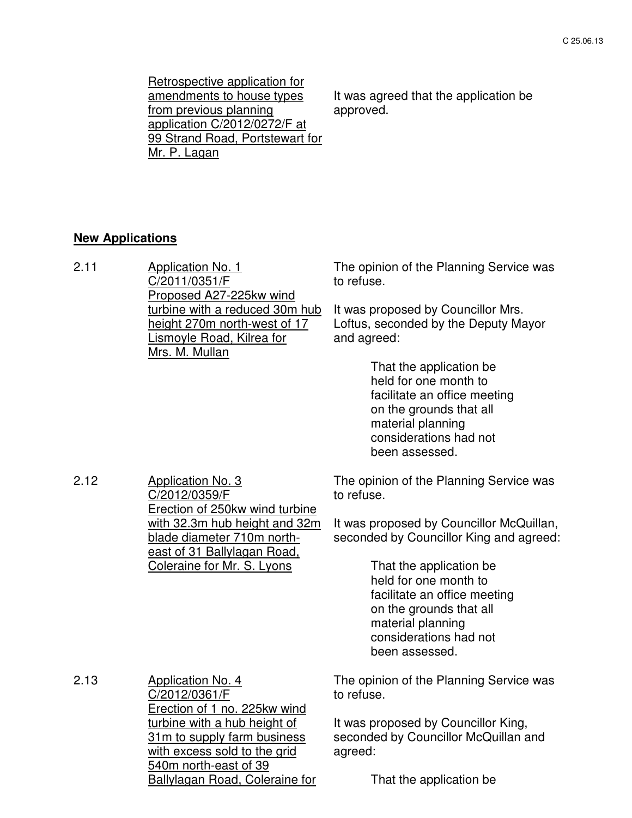Retrospective application for amendments to house types from previous planning application C/2012/0272/F at 99 Strand Road, Portstewart for Mr. P. Lagan

It was agreed that the application be approved.

# **New Applications**

| 2.11 | <b>Application No. 1</b><br>C/2011/0351/F<br>Proposed A27-225kw wind                                                 | The opinion of the Planning Service was<br>to refuse.                                                                                                                        |  |
|------|----------------------------------------------------------------------------------------------------------------------|------------------------------------------------------------------------------------------------------------------------------------------------------------------------------|--|
|      | turbine with a reduced 30m hub<br>height 270m north-west of 17<br>Lismoyle Road, Kilrea for<br>Mrs. M. Mullan        | It was proposed by Councillor Mrs.<br>Loftus, seconded by the Deputy Mayor<br>and agreed:                                                                                    |  |
|      |                                                                                                                      | That the application be<br>held for one month to<br>facilitate an office meeting<br>on the grounds that all<br>material planning<br>considerations had not<br>been assessed. |  |
| 2.12 | <b>Application No. 3</b><br>C/2012/0359/F<br>Erection of 250kw wind turbine                                          | The opinion of the Planning Service was<br>to refuse.                                                                                                                        |  |
|      | with 32.3m hub height and 32m<br>blade diameter 710m north-<br>east of 31 Ballylagan Road,                           | It was proposed by Councillor McQuillan,<br>seconded by Councillor King and agreed:                                                                                          |  |
|      | Coleraine for Mr. S. Lyons                                                                                           | That the application be<br>held for one month to<br>facilitate an office meeting<br>on the grounds that all<br>material planning<br>considerations had not<br>been assessed. |  |
| 2.13 | <b>Application No. 4</b><br>C/2012/0361/F<br>Erection of 1 no. 225kw wind                                            | The opinion of the Planning Service was<br>to refuse.                                                                                                                        |  |
|      | turbine with a hub height of<br>31m to supply farm business<br>with excess sold to the grid<br>540m north-east of 39 | It was proposed by Councillor King,<br>seconded by Councillor McQuillan and<br>agreed:                                                                                       |  |
|      | Ballylagan Road, Coleraine for                                                                                       | That the application be                                                                                                                                                      |  |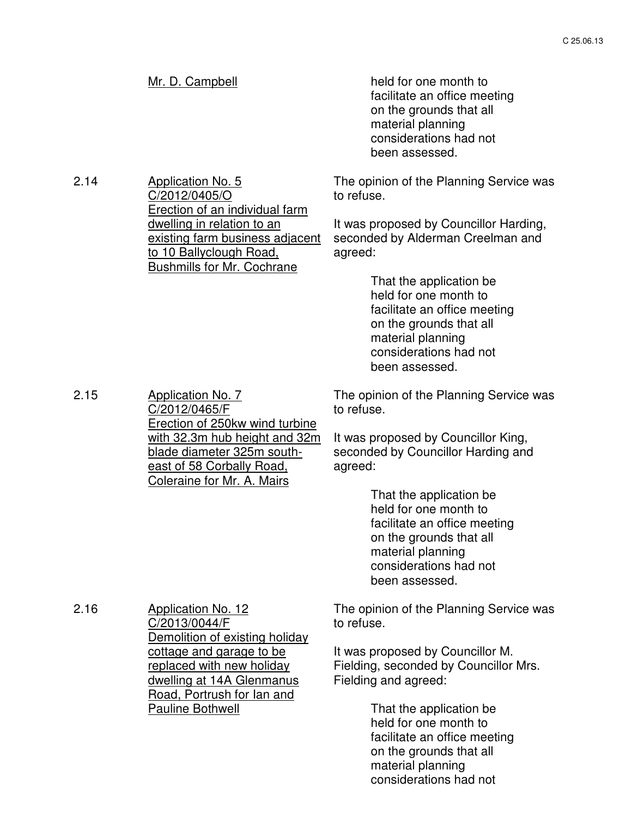2.14 Application No. 5 C/2012/0405/O Erection of an individual farm dwelling in relation to an existing farm business adjacent to 10 Ballyclough Road, Bushmills for Mr. Cochrane

Mr. D. Campbell held for one month to facilitate an office meeting on the grounds that all material planning considerations had not been assessed.

> The opinion of the Planning Service was to refuse.

It was proposed by Councillor Harding, seconded by Alderman Creelman and agreed:

> That the application be held for one month to facilitate an office meeting on the grounds that all material planning considerations had not been assessed.

The opinion of the Planning Service was to refuse.

It was proposed by Councillor King, seconded by Councillor Harding and agreed:

> That the application be held for one month to facilitate an office meeting on the grounds that all material planning considerations had not been assessed.

The opinion of the Planning Service was to refuse.

It was proposed by Councillor M. Fielding, seconded by Councillor Mrs. Fielding and agreed:

> That the application be held for one month to facilitate an office meeting on the grounds that all material planning considerations had not

2.15 Application No. 7 C/2012/0465/F Erection of 250kw wind turbine with 32.3m hub height and 32m blade diameter 325m southeast of 58 Corbally Road, Coleraine for Mr. A. Mairs

C/2013/0044/F

Pauline Bothwell

Demolition of existing holiday cottage and garage to be replaced with new holiday dwelling at 14A Glenmanus Road, Portrush for lan and

2.16 Application No. 12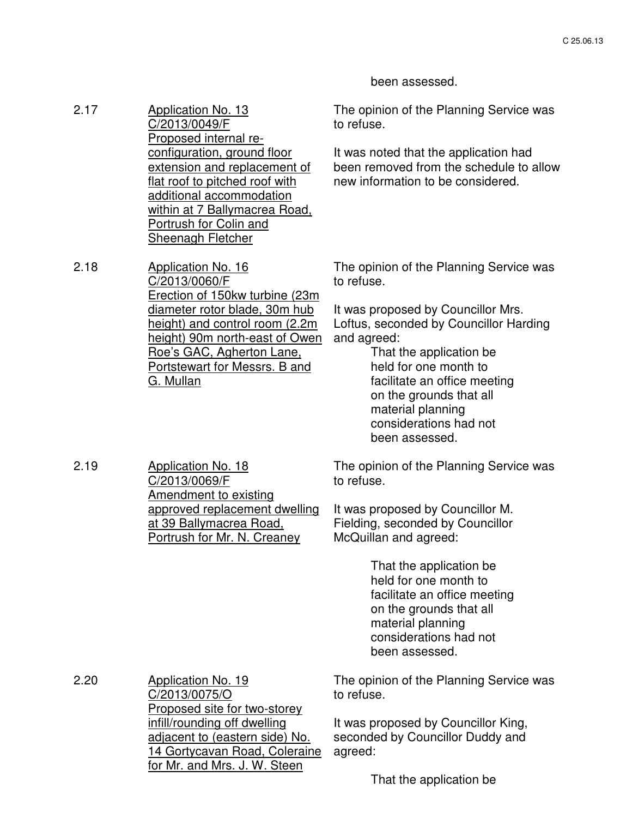been assessed.

to refuse.

2.17 Application No. 13 C/2013/0049/F Proposed internal reconfiguration, ground floor extension and replacement of flat roof to pitched roof with additional accommodation within at 7 Ballymacrea Road, Portrush for Colin and Sheenagh Fletcher

2.18 Application No. 16 C/2013/0060/F Erection of 150kw turbine (23m diameter rotor blade, 30m hub height) and control room (2.2m height) 90m north-east of Owen Roe's GAC, Agherton Lane, Portstewart for Messrs. B and G. Mullan

The opinion of the Planning Service was to refuse.

The opinion of the Planning Service was

It was noted that the application had been removed from the schedule to allow

new information to be considered.

It was proposed by Councillor Mrs. Loftus, seconded by Councillor Harding and agreed:

> That the application be held for one month to facilitate an office meeting on the grounds that all material planning considerations had not been assessed.

2.19 Application No. 18 C/2013/0069/F Amendment to existing approved replacement dwelling at 39 Ballymacrea Road, Portrush for Mr. N. Creaney

The opinion of the Planning Service was to refuse.

It was proposed by Councillor M. Fielding, seconded by Councillor McQuillan and agreed:

> That the application be held for one month to facilitate an office meeting on the grounds that all material planning considerations had not been assessed.

2.20 **Application No. 19** C/2013/0075/O Proposed site for two-storey infill/rounding off dwelling adjacent to (eastern side) No. 14 Gortycavan Road, Coleraine for Mr. and Mrs. J. W. Steen

The opinion of the Planning Service was to refuse.

It was proposed by Councillor King, seconded by Councillor Duddy and agreed:

That the application be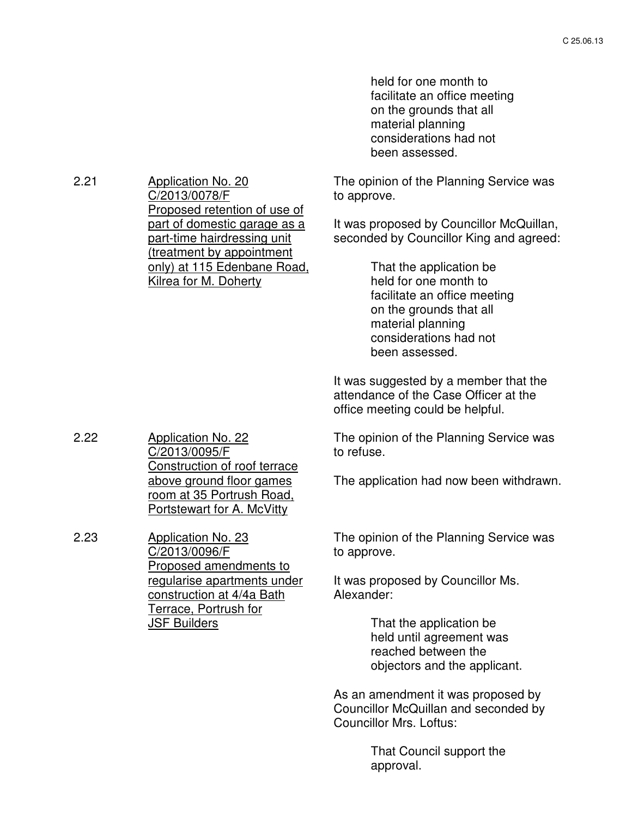held for one month to facilitate an office meeting on the grounds that all material planning considerations had not been assessed.

The opinion of the Planning Service was to approve.

It was proposed by Councillor McQuillan, seconded by Councillor King and agreed:

> That the application be held for one month to facilitate an office meeting on the grounds that all material planning considerations had not been assessed.

It was suggested by a member that the attendance of the Case Officer at the office meeting could be helpful.

The opinion of the Planning Service was to refuse.

The application had now been withdrawn.

The opinion of the Planning Service was to approve.

It was proposed by Councillor Ms. Alexander:

> That the application be held until agreement was reached between the objectors and the applicant.

As an amendment it was proposed by Councillor McQuillan and seconded by Councillor Mrs. Loftus:

> That Council support the approval.

2.21 Application No. 20 C/2013/0078/F Proposed retention of use of part of domestic garage as a part-time hairdressing unit (treatment by appointment only) at 115 Edenbane Road, Kilrea for M. Doherty

C/2013/0095/F

C/2013/0096/F

JSF Builders

2.23 Application No. 23

Construction of roof terrace above ground floor games room at 35 Portrush Road, Portstewart for A. McVitty

Proposed amendments to regularise apartments under construction at 4/4a Bath Terrace, Portrush for

2.22 Application No. 22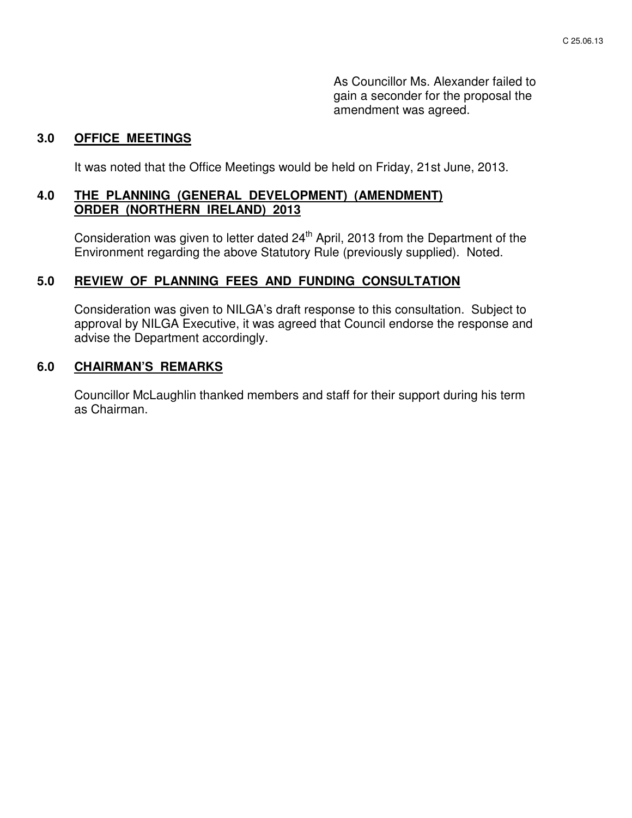As Councillor Ms. Alexander failed to gain a seconder for the proposal the amendment was agreed.

#### **3.0 OFFICE MEETINGS**

It was noted that the Office Meetings would be held on Friday, 21st June, 2013.

## **4.0 THE PLANNING (GENERAL DEVELOPMENT) (AMENDMENT) ORDER (NORTHERN IRELAND) 2013**

Consideration was given to letter dated 24<sup>th</sup> April, 2013 from the Department of the Environment regarding the above Statutory Rule (previously supplied). Noted.

## **5.0 REVIEW OF PLANNING FEES AND FUNDING CONSULTATION**

 Consideration was given to NILGA's draft response to this consultation. Subject to approval by NILGA Executive, it was agreed that Council endorse the response and advise the Department accordingly.

#### **6.0 CHAIRMAN'S REMARKS**

 Councillor McLaughlin thanked members and staff for their support during his term as Chairman.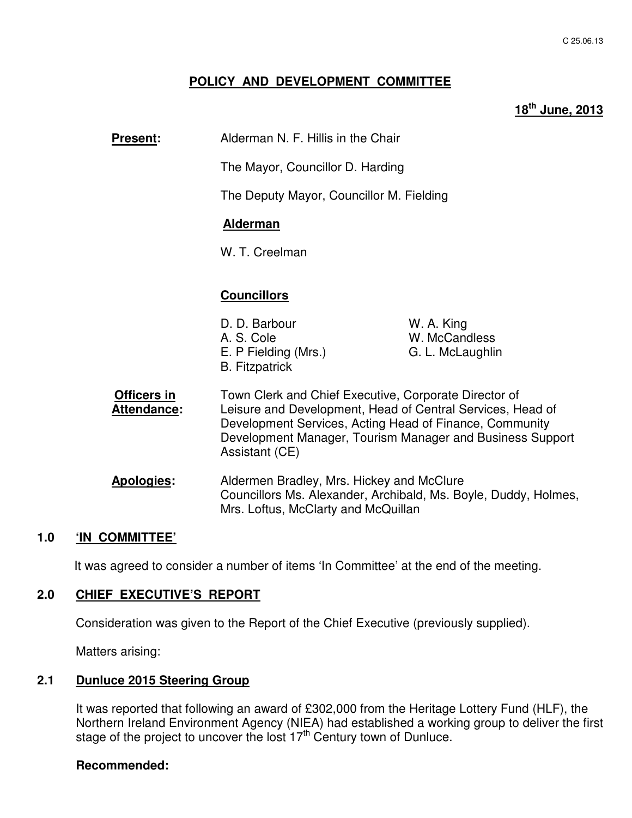## **POLICY AND DEVELOPMENT COMMITTEE**

## **18th June, 2013**

| <b>Present:</b>                   | Alderman N. F. Hillis in the Chair                                                                                                                                                                                                                            |                                                 |
|-----------------------------------|---------------------------------------------------------------------------------------------------------------------------------------------------------------------------------------------------------------------------------------------------------------|-------------------------------------------------|
|                                   | The Mayor, Councillor D. Harding                                                                                                                                                                                                                              |                                                 |
|                                   | The Deputy Mayor, Councillor M. Fielding                                                                                                                                                                                                                      |                                                 |
|                                   | <b>Alderman</b>                                                                                                                                                                                                                                               |                                                 |
|                                   | W. T. Creelman                                                                                                                                                                                                                                                |                                                 |
|                                   |                                                                                                                                                                                                                                                               |                                                 |
|                                   | <b>Councillors</b>                                                                                                                                                                                                                                            |                                                 |
|                                   | D. D. Barbour<br>A. S. Cole<br>E. P Fielding (Mrs.)<br><b>B.</b> Fitzpatrick                                                                                                                                                                                  | W. A. King<br>W. McCandless<br>G. L. McLaughlin |
| <b>Officers in</b><br>Attendance: | Town Clerk and Chief Executive, Corporate Director of<br>Leisure and Development, Head of Central Services, Head of<br>Development Services, Acting Head of Finance, Community<br>Development Manager, Tourism Manager and Business Support<br>Assistant (CE) |                                                 |
| Apologies:                        | Aldermen Bradley, Mrs. Hickey and McClure<br>Councillors Ms. Alexander, Archibald, Ms. Boyle, Duddy, Holmes,<br>Mrs. Loftus, McClarty and McQuillan                                                                                                           |                                                 |
| י^ -<br>$INI$ $OMINITTEP$         |                                                                                                                                                                                                                                                               |                                                 |

#### **1.0 'IN COMMITTEE'**

It was agreed to consider a number of items 'In Committee' at the end of the meeting.

## **2.0 CHIEF EXECUTIVE'S REPORT**

Consideration was given to the Report of the Chief Executive (previously supplied).

Matters arising:

#### **2.1 Dunluce 2015 Steering Group**

It was reported that following an award of £302,000 from the Heritage Lottery Fund (HLF), the Northern Ireland Environment Agency (NIEA) had established a working group to deliver the first stage of the project to uncover the lost 17<sup>th</sup> Century town of Dunluce.

#### **Recommended:**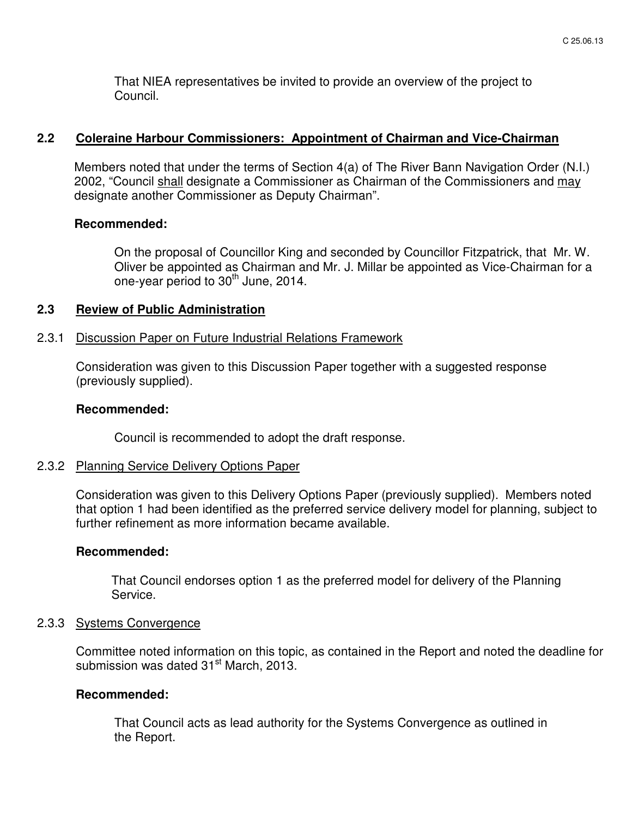That NIEA representatives be invited to provide an overview of the project to Council.

## **2.2 Coleraine Harbour Commissioners: Appointment of Chairman and Vice-Chairman**

Members noted that under the terms of Section 4(a) of The River Bann Navigation Order (N.I.) 2002, "Council shall designate a Commissioner as Chairman of the Commissioners and may designate another Commissioner as Deputy Chairman".

#### **Recommended:**

On the proposal of Councillor King and seconded by Councillor Fitzpatrick, that Mr. W. Oliver be appointed as Chairman and Mr. J. Millar be appointed as Vice-Chairman for a one-year period to  $30<sup>th</sup>$  June, 2014.

## **2.3 Review of Public Administration**

#### 2.3.1 Discussion Paper on Future Industrial Relations Framework

Consideration was given to this Discussion Paper together with a suggested response (previously supplied).

#### **Recommended:**

Council is recommended to adopt the draft response.

#### 2.3.2 Planning Service Delivery Options Paper

Consideration was given to this Delivery Options Paper (previously supplied). Members noted that option 1 had been identified as the preferred service delivery model for planning, subject to further refinement as more information became available.

#### **Recommended:**

That Council endorses option 1 as the preferred model for delivery of the Planning Service.

#### 2.3.3 Systems Convergence

Committee noted information on this topic, as contained in the Report and noted the deadline for submission was dated 31<sup>st</sup> March, 2013.

## **Recommended:**

 That Council acts as lead authority for the Systems Convergence as outlined in the Report.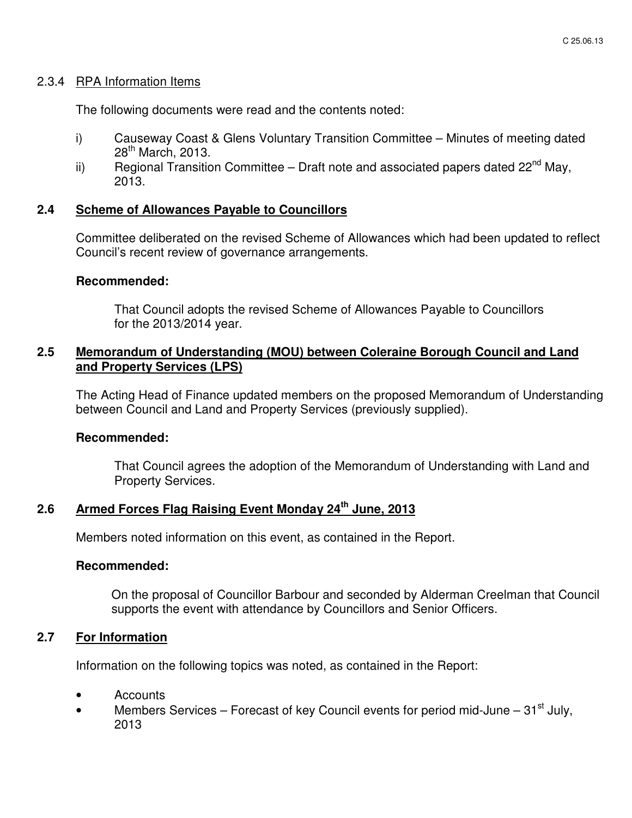#### 2.3.4 RPA Information Items

The following documents were read and the contents noted:

- i) Causeway Coast & Glens Voluntary Transition Committee Minutes of meeting dated 28<sup>th</sup> March, 2013.
- ii) Regional Transition Committee Draft note and associated papers dated  $22<sup>nd</sup>$  May, 2013.

## **2.4 Scheme of Allowances Payable to Councillors**

Committee deliberated on the revised Scheme of Allowances which had been updated to reflect Council's recent review of governance arrangements.

## **Recommended:**

That Council adopts the revised Scheme of Allowances Payable to Councillors for the 2013/2014 year.

## **2.5 Memorandum of Understanding (MOU) between Coleraine Borough Council and Land and Property Services (LPS)**

The Acting Head of Finance updated members on the proposed Memorandum of Understanding between Council and Land and Property Services (previously supplied).

#### **Recommended:**

That Council agrees the adoption of the Memorandum of Understanding with Land and Property Services.

# **2.6 Armed Forces Flag Raising Event Monday 24th June, 2013**

Members noted information on this event, as contained in the Report.

#### **Recommended:**

On the proposal of Councillor Barbour and seconded by Alderman Creelman that Council supports the event with attendance by Councillors and Senior Officers.

## **2.7 For Information**

Information on the following topics was noted, as contained in the Report:

- Accounts
- Members Services Forecast of key Council events for period mid-June  $31<sup>st</sup>$  July, 2013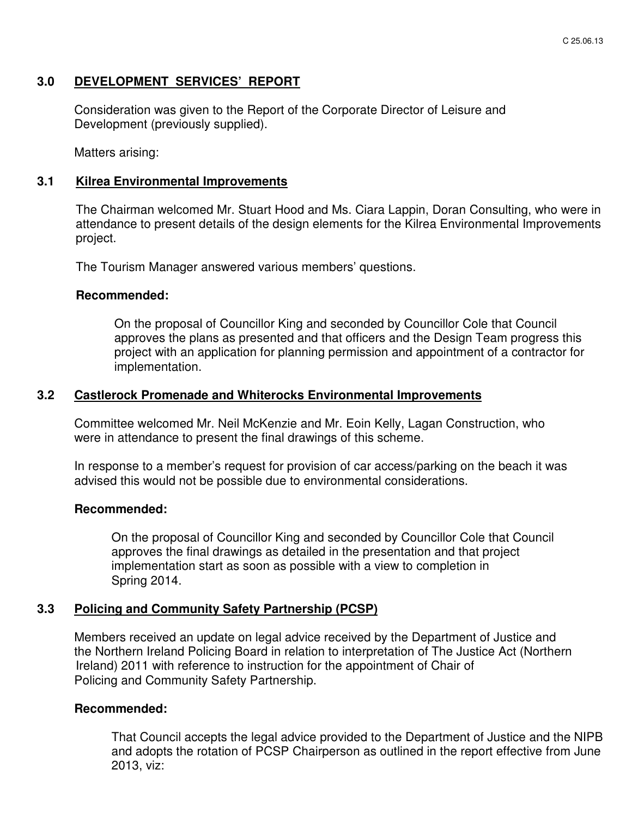## **3.0 DEVELOPMENT SERVICES' REPORT**

 Consideration was given to the Report of the Corporate Director of Leisure and Development (previously supplied).

Matters arising:

#### **3.1 Kilrea Environmental Improvements**

The Chairman welcomed Mr. Stuart Hood and Ms. Ciara Lappin, Doran Consulting, who were in attendance to present details of the design elements for the Kilrea Environmental Improvements project.

The Tourism Manager answered various members' questions.

#### **Recommended:**

On the proposal of Councillor King and seconded by Councillor Cole that Council approves the plans as presented and that officers and the Design Team progress this project with an application for planning permission and appointment of a contractor for implementation.

#### **3.2 Castlerock Promenade and Whiterocks Environmental Improvements**

 Committee welcomed Mr. Neil McKenzie and Mr. Eoin Kelly, Lagan Construction, who were in attendance to present the final drawings of this scheme.

In response to a member's request for provision of car access/parking on the beach it was advised this would not be possible due to environmental considerations.

#### **Recommended:**

On the proposal of Councillor King and seconded by Councillor Cole that Council approves the final drawings as detailed in the presentation and that project implementation start as soon as possible with a view to completion in Spring 2014.

#### **3.3 Policing and Community Safety Partnership (PCSP)**

Members received an update on legal advice received by the Department of Justice and the Northern Ireland Policing Board in relation to interpretation of The Justice Act (Northern Ireland) 2011 with reference to instruction for the appointment of Chair of Policing and Community Safety Partnership.

#### **Recommended:**

That Council accepts the legal advice provided to the Department of Justice and the NIPB and adopts the rotation of PCSP Chairperson as outlined in the report effective from June 2013, viz: